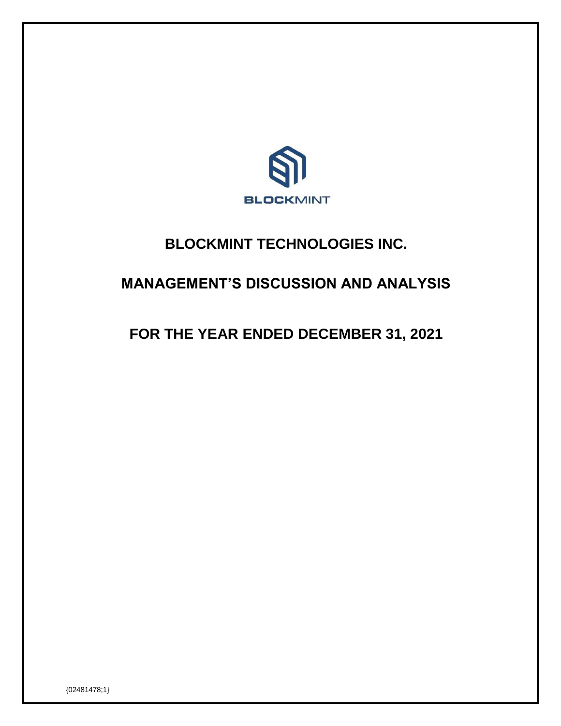

# **BLOCKMINT TECHNOLOGIES INC.**

# **MANAGEMENT'S DISCUSSION AND ANALYSIS**

# **FOR THE YEAR ENDED DECEMBER 31, 2021**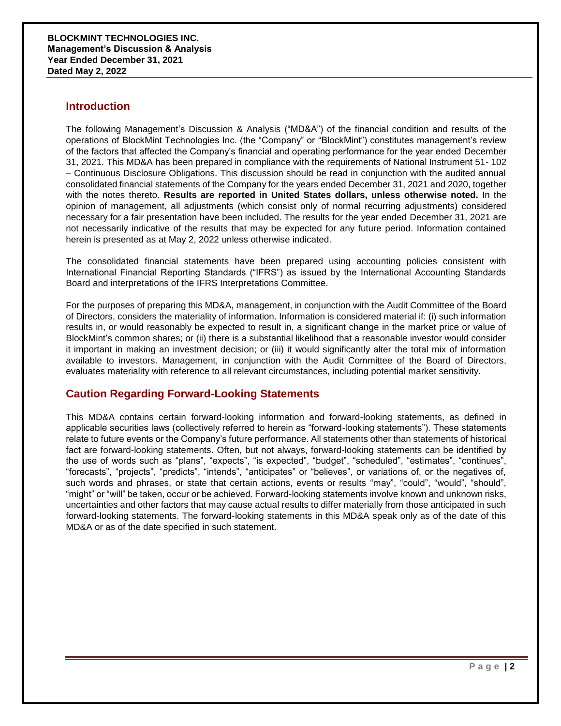### **Introduction**

The following Management's Discussion & Analysis ("MD&A") of the financial condition and results of the operations of BlockMint Technologies Inc. (the "Company" or "BlockMint") constitutes management's review of the factors that affected the Company's financial and operating performance for the year ended December 31, 2021. This MD&A has been prepared in compliance with the requirements of National Instrument 51- 102 – Continuous Disclosure Obligations. This discussion should be read in conjunction with the audited annual consolidated financial statements of the Company for the years ended December 31, 2021 and 2020, together with the notes thereto. **Results are reported in United States dollars, unless otherwise noted.** In the opinion of management, all adjustments (which consist only of normal recurring adjustments) considered necessary for a fair presentation have been included. The results for the year ended December 31, 2021 are not necessarily indicative of the results that may be expected for any future period. Information contained herein is presented as at May 2, 2022 unless otherwise indicated.

The consolidated financial statements have been prepared using accounting policies consistent with International Financial Reporting Standards ("IFRS") as issued by the International Accounting Standards Board and interpretations of the IFRS Interpretations Committee.

For the purposes of preparing this MD&A, management, in conjunction with the Audit Committee of the Board of Directors, considers the materiality of information. Information is considered material if: (i) such information results in, or would reasonably be expected to result in, a significant change in the market price or value of BlockMint's common shares; or (ii) there is a substantial likelihood that a reasonable investor would consider it important in making an investment decision; or (iii) it would significantly alter the total mix of information available to investors. Management, in conjunction with the Audit Committee of the Board of Directors, evaluates materiality with reference to all relevant circumstances, including potential market sensitivity.

### **Caution Regarding Forward-Looking Statements**

This MD&A contains certain forward-looking information and forward-looking statements, as defined in applicable securities laws (collectively referred to herein as "forward-looking statements"). These statements relate to future events or the Company's future performance. All statements other than statements of historical fact are forward-looking statements. Often, but not always, forward-looking statements can be identified by the use of words such as "plans", "expects", "is expected", "budget", "scheduled", "estimates", "continues", "forecasts", "projects", "predicts", "intends", "anticipates" or "believes", or variations of, or the negatives of, such words and phrases, or state that certain actions, events or results "may", "could", "would", "should", "might" or "will" be taken, occur or be achieved. Forward-looking statements involve known and unknown risks, uncertainties and other factors that may cause actual results to differ materially from those anticipated in such forward-looking statements. The forward-looking statements in this MD&A speak only as of the date of this MD&A or as of the date specified in such statement.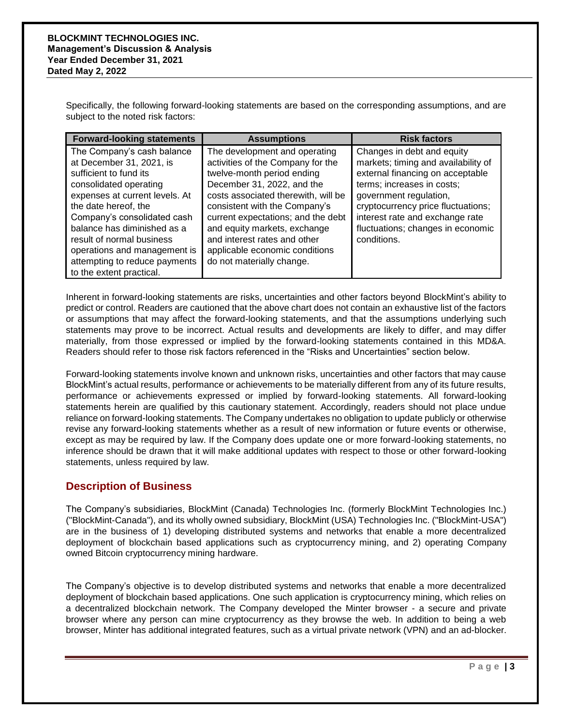Specifically, the following forward-looking statements are based on the corresponding assumptions, and are subject to the noted risk factors:

| <b>Forward-looking statements</b>                                                                                                                                                                                                                                                                                                                            | <b>Assumptions</b>                                                                                                                                                                                                                                                                                                                                                          | <b>Risk factors</b>                                                                                                                                                                                                                                                                        |
|--------------------------------------------------------------------------------------------------------------------------------------------------------------------------------------------------------------------------------------------------------------------------------------------------------------------------------------------------------------|-----------------------------------------------------------------------------------------------------------------------------------------------------------------------------------------------------------------------------------------------------------------------------------------------------------------------------------------------------------------------------|--------------------------------------------------------------------------------------------------------------------------------------------------------------------------------------------------------------------------------------------------------------------------------------------|
| The Company's cash balance<br>at December 31, 2021, is<br>sufficient to fund its<br>consolidated operating<br>expenses at current levels. At<br>the date hereof, the<br>Company's consolidated cash<br>balance has diminished as a<br>result of normal business<br>operations and management is<br>attempting to reduce payments<br>to the extent practical. | The development and operating<br>activities of the Company for the<br>twelve-month period ending<br>December 31, 2022, and the<br>costs associated therewith, will be<br>consistent with the Company's<br>current expectations; and the debt<br>and equity markets, exchange<br>and interest rates and other<br>applicable economic conditions<br>do not materially change. | Changes in debt and equity<br>markets; timing and availability of<br>external financing on acceptable<br>terms; increases in costs;<br>government regulation,<br>cryptocurrency price fluctuations;<br>interest rate and exchange rate<br>fluctuations; changes in economic<br>conditions. |

Inherent in forward-looking statements are risks, uncertainties and other factors beyond BlockMint's ability to predict or control. Readers are cautioned that the above chart does not contain an exhaustive list of the factors or assumptions that may affect the forward-looking statements, and that the assumptions underlying such statements may prove to be incorrect. Actual results and developments are likely to differ, and may differ materially, from those expressed or implied by the forward-looking statements contained in this MD&A. Readers should refer to those risk factors referenced in the "Risks and Uncertainties" section below.

Forward-looking statements involve known and unknown risks, uncertainties and other factors that may cause BlockMint's actual results, performance or achievements to be materially different from any of its future results, performance or achievements expressed or implied by forward-looking statements. All forward-looking statements herein are qualified by this cautionary statement. Accordingly, readers should not place undue reliance on forward-looking statements. The Company undertakes no obligation to update publicly or otherwise revise any forward-looking statements whether as a result of new information or future events or otherwise, except as may be required by law. If the Company does update one or more forward-looking statements, no inference should be drawn that it will make additional updates with respect to those or other forward-looking statements, unless required by law.

### **Description of Business**

The Company's subsidiaries, BlockMint (Canada) Technologies Inc. (formerly BlockMint Technologies Inc.) ("BlockMint-Canada"), and its wholly owned subsidiary, BlockMint (USA) Technologies Inc. ("BlockMint-USA") are in the business of 1) developing distributed systems and networks that enable a more decentralized deployment of blockchain based applications such as cryptocurrency mining, and 2) operating Company owned Bitcoin cryptocurrency mining hardware.

The Company's objective is to develop distributed systems and networks that enable a more decentralized deployment of blockchain based applications. One such application is cryptocurrency mining, which relies on a decentralized blockchain network. The Company developed the Minter browser - a secure and private browser where any person can mine cryptocurrency as they browse the web. In addition to being a web browser, Minter has additional integrated features, such as a virtual private network (VPN) and an ad-blocker.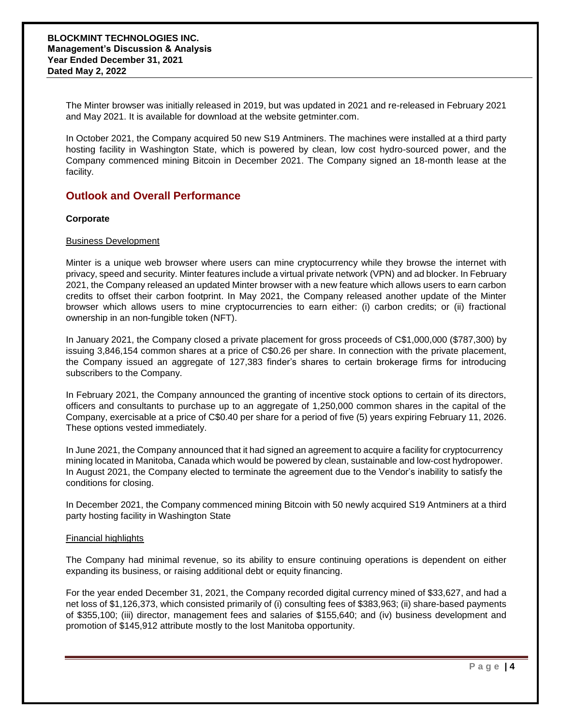The Minter browser was initially released in 2019, but was updated in 2021 and re-released in February 2021 and May 2021. It is available for download at the website getminter.com.

In October 2021, the Company acquired 50 new S19 Antminers. The machines were installed at a third party hosting facility in Washington State, which is powered by clean, low cost hydro-sourced power, and the Company commenced mining Bitcoin in December 2021. The Company signed an 18-month lease at the facility.

### **Outlook and Overall Performance**

#### **Corporate**

#### Business Development

Minter is a unique web browser where users can mine cryptocurrency while they browse the internet with privacy, speed and security. Minter features include a virtual private network (VPN) and ad blocker. In February 2021, the Company released an updated Minter browser with a new feature which allows users to earn carbon credits to offset their carbon footprint. In May 2021, the Company released another update of the Minter browser which allows users to mine cryptocurrencies to earn either: (i) carbon credits; or (ii) fractional ownership in an non-fungible token (NFT).

In January 2021, the Company closed a private placement for gross proceeds of C\$1,000,000 (\$787,300) by issuing 3,846,154 common shares at a price of C\$0.26 per share. In connection with the private placement, the Company issued an aggregate of 127,383 finder's shares to certain brokerage firms for introducing subscribers to the Company.

In February 2021, the Company announced the granting of incentive stock options to certain of its directors, officers and consultants to purchase up to an aggregate of 1,250,000 common shares in the capital of the Company, exercisable at a price of C\$0.40 per share for a period of five (5) years expiring February 11, 2026. These options vested immediately.

In June 2021, the Company announced that it had signed an agreement to acquire a facility for cryptocurrency mining located in Manitoba, Canada which would be powered by clean, sustainable and low-cost hydropower. In August 2021, the Company elected to terminate the agreement due to the Vendor's inability to satisfy the conditions for closing.

In December 2021, the Company commenced mining Bitcoin with 50 newly acquired S19 Antminers at a third party hosting facility in Washington State

#### Financial highlights

The Company had minimal revenue, so its ability to ensure continuing operations is dependent on either expanding its business, or raising additional debt or equity financing.

For the year ended December 31, 2021, the Company recorded digital currency mined of \$33,627, and had a net loss of \$1,126,373, which consisted primarily of (i) consulting fees of \$383,963; (ii) share-based payments of \$355,100; (iii) director, management fees and salaries of \$155,640; and (iv) business development and promotion of \$145,912 attribute mostly to the lost Manitoba opportunity.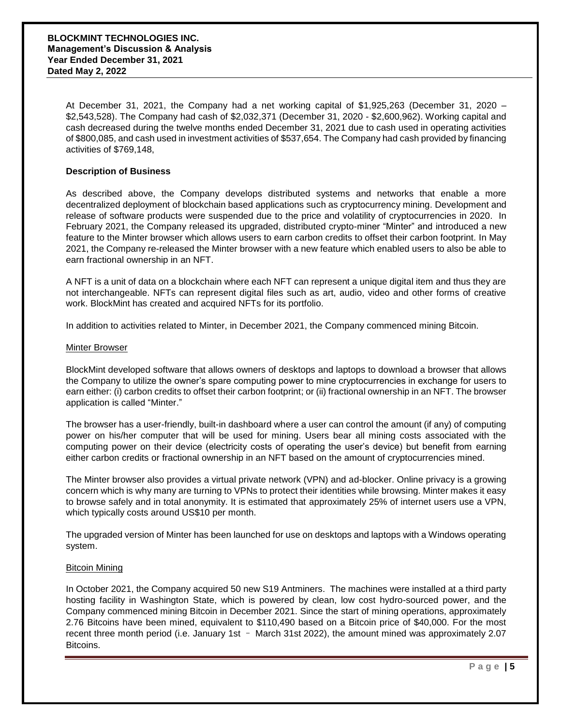At December 31, 2021, the Company had a net working capital of \$1,925,263 (December 31, 2020 – \$2,543,528). The Company had cash of \$2,032,371 (December 31, 2020 - \$2,600,962). Working capital and cash decreased during the twelve months ended December 31, 2021 due to cash used in operating activities of \$800,085, and cash used in investment activities of \$537,654. The Company had cash provided by financing activities of \$769,148,

#### **Description of Business**

As described above, the Company develops distributed systems and networks that enable a more decentralized deployment of blockchain based applications such as cryptocurrency mining. Development and release of software products were suspended due to the price and volatility of cryptocurrencies in 2020. In February 2021, the Company released its upgraded, distributed crypto-miner "Minter" and introduced a new feature to the Minter browser which allows users to earn carbon credits to offset their carbon footprint. In May 2021, the Company re-released the Minter browser with a new feature which enabled users to also be able to earn fractional ownership in an NFT.

A NFT is a unit of data on a blockchain where each NFT can represent a unique digital item and thus they are not interchangeable. NFTs can represent digital files such as art, audio, video and other forms of creative work. BlockMint has created and acquired NFTs for its portfolio.

In addition to activities related to Minter, in December 2021, the Company commenced mining Bitcoin.

#### Minter Browser

BlockMint developed software that allows owners of desktops and laptops to download a browser that allows the Company to utilize the owner's spare computing power to mine cryptocurrencies in exchange for users to earn either: (i) carbon credits to offset their carbon footprint; or (ii) fractional ownership in an NFT. The browser application is called "Minter."

The browser has a user-friendly, built-in dashboard where a user can control the amount (if any) of computing power on his/her computer that will be used for mining. Users bear all mining costs associated with the computing power on their device (electricity costs of operating the user's device) but benefit from earning either carbon credits or fractional ownership in an NFT based on the amount of cryptocurrencies mined.

The Minter browser also provides a virtual private network (VPN) and ad-blocker. Online privacy is a growing concern which is why many are turning to VPNs to protect their identities while browsing. Minter makes it easy to browse safely and in total anonymity. It is estimated that approximately 25% of internet users use a VPN, which typically costs around US\$10 per month.

The upgraded version of Minter has been launched for use on desktops and laptops with a Windows operating system.

#### Bitcoin Mining

In October 2021, the Company acquired 50 new S19 Antminers. The machines were installed at a third party hosting facility in Washington State, which is powered by clean, low cost hydro-sourced power, and the Company commenced mining Bitcoin in December 2021. Since the start of mining operations, approximately 2.76 Bitcoins have been mined, equivalent to \$110,490 based on a Bitcoin price of \$40,000. For the most recent three month period (i.e. January 1st – March 31st 2022), the amount mined was approximately 2.07 Bitcoins.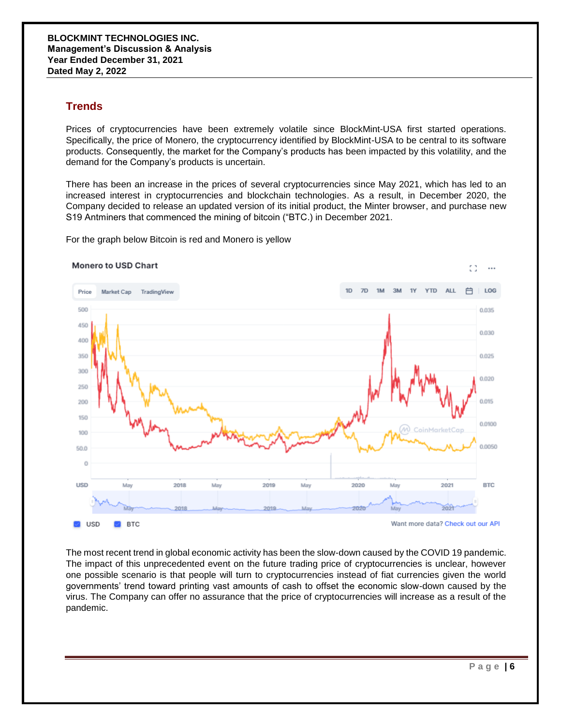### **Trends**

Prices of cryptocurrencies have been extremely volatile since BlockMint-USA first started operations. Specifically, the price of Monero, the cryptocurrency identified by BlockMint-USA to be central to its software products. Consequently, the market for the Company's products has been impacted by this volatility, and the demand for the Company's products is uncertain.

There has been an increase in the prices of several cryptocurrencies since May 2021, which has led to an increased interest in cryptocurrencies and blockchain technologies. As a result, in December 2020, the Company decided to release an updated version of its initial product, the Minter browser, and purchase new S19 Antminers that commenced the mining of bitcoin ("BTC.) in December 2021.

For the graph below Bitcoin is red and Monero is yellow



The most recent trend in global economic activity has been the slow-down caused by the COVID 19 pandemic. The impact of this unprecedented event on the future trading price of cryptocurrencies is unclear, however one possible scenario is that people will turn to cryptocurrencies instead of fiat currencies given the world governments' trend toward printing vast amounts of cash to offset the economic slow-down caused by the virus. The Company can offer no assurance that the price of cryptocurrencies will increase as a result of the pandemic.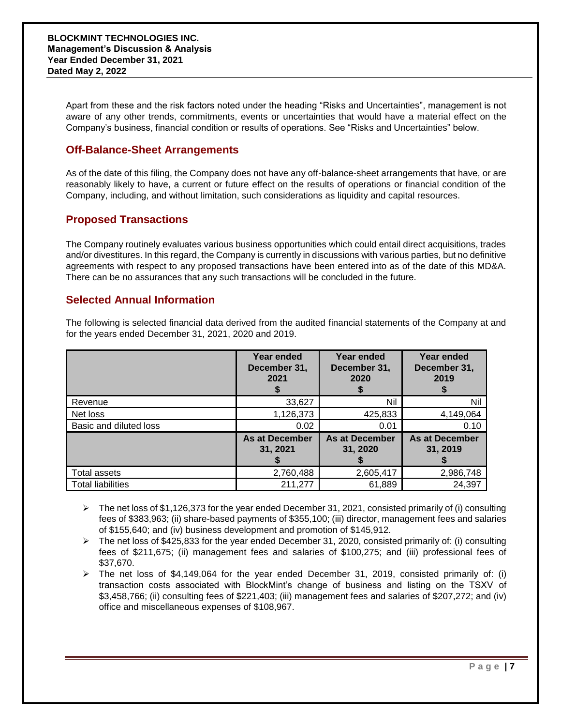Apart from these and the risk factors noted under the heading "Risks and Uncertainties", management is not aware of any other trends, commitments, events or uncertainties that would have a material effect on the Company's business, financial condition or results of operations. See "Risks and Uncertainties" below.

### **Off-Balance-Sheet Arrangements**

As of the date of this filing, the Company does not have any off-balance-sheet arrangements that have, or are reasonably likely to have, a current or future effect on the results of operations or financial condition of the Company, including, and without limitation, such considerations as liquidity and capital resources.

### **Proposed Transactions**

The Company routinely evaluates various business opportunities which could entail direct acquisitions, trades and/or divestitures. In this regard, the Company is currently in discussions with various parties, but no definitive agreements with respect to any proposed transactions have been entered into as of the date of this MD&A. There can be no assurances that any such transactions will be concluded in the future.

### **Selected Annual Information**

The following is selected financial data derived from the audited financial statements of the Company at and for the years ended December 31, 2021, 2020 and 2019.

|                          | Year ended<br>December 31,<br>2021 | Year ended<br>December 31,<br>2020 | Year ended<br>December 31,<br>2019 |
|--------------------------|------------------------------------|------------------------------------|------------------------------------|
| Revenue                  | 33,627                             | Nil                                | Nil                                |
| Net loss                 | 1,126,373                          | 425,833                            | 4,149,064                          |
| Basic and diluted loss   | 0.02                               | 0.01                               | 0.10                               |
|                          | <b>As at December</b><br>31, 2021  | <b>As at December</b><br>31, 2020  | <b>As at December</b><br>31, 2019  |
| Total assets             | 2,760,488                          | 2,605,417                          | 2,986,748                          |
| <b>Total liabilities</b> | 211,277                            | 61,889                             | 24,397                             |

- $\triangleright$  The net loss of \$1,126,373 for the year ended December 31, 2021, consisted primarily of (i) consulting fees of \$383,963; (ii) share-based payments of \$355,100; (iii) director, management fees and salaries of \$155,640; and (iv) business development and promotion of \$145,912.
- $\triangleright$  The net loss of \$425,833 for the year ended December 31, 2020, consisted primarily of: (i) consulting fees of \$211,675; (ii) management fees and salaries of \$100,275; and (iii) professional fees of \$37,670.
- $\triangleright$  The net loss of \$4,149,064 for the year ended December 31, 2019, consisted primarily of: (i) transaction costs associated with BlockMint's change of business and listing on the TSXV of \$3,458,766; (ii) consulting fees of \$221,403; (iii) management fees and salaries of \$207,272; and (iv) office and miscellaneous expenses of \$108,967.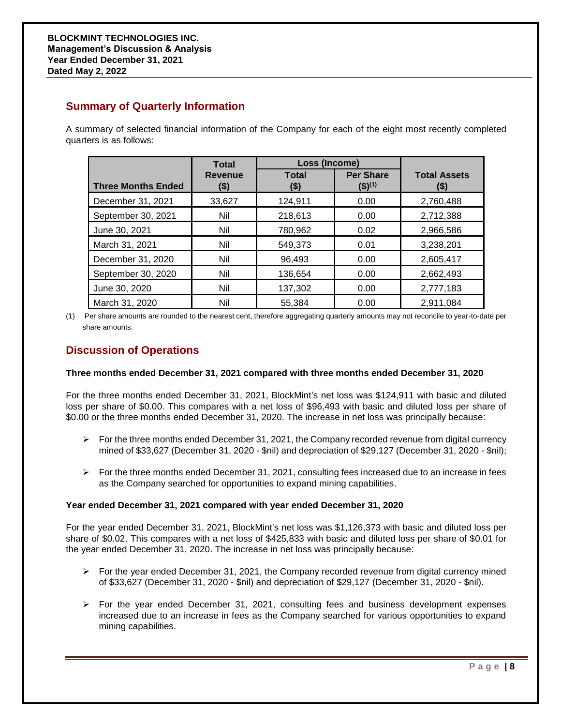### **Summary of Quarterly Information**

A summary of selected financial information of the Company for each of the eight most recently completed quarters is as follows:

|                           | <b>Total</b>           | Loss (Income)        |                                            |                             |
|---------------------------|------------------------|----------------------|--------------------------------------------|-----------------------------|
| <b>Three Months Ended</b> | <b>Revenue</b><br>(\$) | <b>Total</b><br>(\$) | <b>Per Share</b><br>$($ \$) <sup>(1)</sup> | <b>Total Assets</b><br>(\$) |
| December 31, 2021         | 33,627                 | 124,911              | 0.00                                       | 2,760,488                   |
| September 30, 2021        | Nil                    | 218,613              | 0.00                                       | 2,712,388                   |
| June 30, 2021             | Nil                    | 780,962              | 0.02                                       | 2,966,586                   |
| March 31, 2021            | Nil                    | 549,373              | 0.01                                       | 3,238,201                   |
| December 31, 2020         | Nil                    | 96,493               | 0.00                                       | 2,605,417                   |
| September 30, 2020        | Nil                    | 136,654              | 0.00                                       | 2,662,493                   |
| June 30, 2020             | Nil                    | 137,302              | 0.00                                       | 2,777,183                   |
| March 31, 2020            | Nil                    | 55.384               | 0.00                                       | 2,911,084                   |

(1) Per share amounts are rounded to the nearest cent, therefore aggregating quarterly amounts may not reconcile to year-to-date per share amounts.

### **Discussion of Operations**

#### **Three months ended December 31, 2021 compared with three months ended December 31, 2020**

For the three months ended December 31, 2021, BlockMint's net loss was \$124,911 with basic and diluted loss per share of \$0.00. This compares with a net loss of \$96,493 with basic and diluted loss per share of \$0.00 or the three months ended December 31, 2020. The increase in net loss was principally because:

- $\triangleright$  For the three months ended December 31, 2021, the Company recorded revenue from digital currency mined of \$33,627 (December 31, 2020 - \$nil) and depreciation of \$29,127 (December 31, 2020 - \$nil);
- $\triangleright$  For the three months ended December 31, 2021, consulting fees increased due to an increase in fees as the Company searched for opportunities to expand mining capabilities.

#### **Year ended December 31, 2021 compared with year ended December 31, 2020**

For the year ended December 31, 2021, BlockMint's net loss was \$1,126,373 with basic and diluted loss per share of \$0.02. This compares with a net loss of \$425,833 with basic and diluted loss per share of \$0.01 for the year ended December 31, 2020. The increase in net loss was principally because:

- $\triangleright$  For the year ended December 31, 2021, the Company recorded revenue from digital currency mined of \$33,627 (December 31, 2020 - \$nil) and depreciation of \$29,127 (December 31, 2020 - \$nil).
- $\triangleright$  For the year ended December 31, 2021, consulting fees and business development expenses increased due to an increase in fees as the Company searched for various opportunities to expand mining capabilities.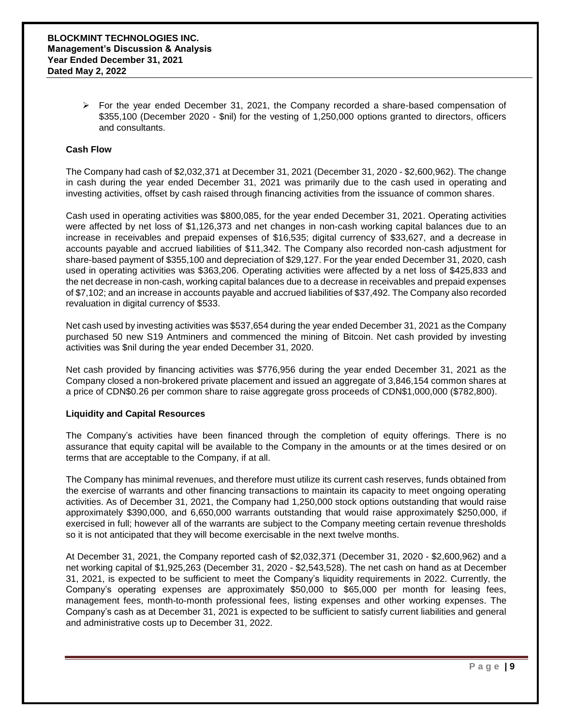$\triangleright$  For the year ended December 31, 2021, the Company recorded a share-based compensation of \$355,100 (December 2020 - \$nil) for the vesting of 1,250,000 options granted to directors, officers and consultants.

#### **Cash Flow**

The Company had cash of \$2,032,371 at December 31, 2021 (December 31, 2020 - \$2,600,962). The change in cash during the year ended December 31, 2021 was primarily due to the cash used in operating and investing activities, offset by cash raised through financing activities from the issuance of common shares.

Cash used in operating activities was \$800,085, for the year ended December 31, 2021. Operating activities were affected by net loss of \$1,126,373 and net changes in non-cash working capital balances due to an increase in receivables and prepaid expenses of \$16,535; digital currency of \$33,627, and a decrease in accounts payable and accrued liabilities of \$11,342. The Company also recorded non-cash adjustment for share-based payment of \$355,100 and depreciation of \$29,127. For the year ended December 31, 2020, cash used in operating activities was \$363,206. Operating activities were affected by a net loss of \$425,833 and the net decrease in non-cash, working capital balances due to a decrease in receivables and prepaid expenses of \$7,102; and an increase in accounts payable and accrued liabilities of \$37,492. The Company also recorded revaluation in digital currency of \$533.

Net cash used by investing activities was \$537,654 during the year ended December 31, 2021 as the Company purchased 50 new S19 Antminers and commenced the mining of Bitcoin. Net cash provided by investing activities was \$nil during the year ended December 31, 2020.

Net cash provided by financing activities was \$776,956 during the year ended December 31, 2021 as the Company closed a non-brokered private placement and issued an aggregate of 3,846,154 common shares at a price of CDN\$0.26 per common share to raise aggregate gross proceeds of CDN\$1,000,000 (\$782,800).

#### **Liquidity and Capital Resources**

The Company's activities have been financed through the completion of equity offerings. There is no assurance that equity capital will be available to the Company in the amounts or at the times desired or on terms that are acceptable to the Company, if at all.

The Company has minimal revenues, and therefore must utilize its current cash reserves, funds obtained from the exercise of warrants and other financing transactions to maintain its capacity to meet ongoing operating activities. As of December 31, 2021, the Company had 1,250,000 stock options outstanding that would raise approximately \$390,000, and 6,650,000 warrants outstanding that would raise approximately \$250,000, if exercised in full; however all of the warrants are subject to the Company meeting certain revenue thresholds so it is not anticipated that they will become exercisable in the next twelve months.

At December 31, 2021, the Company reported cash of \$2,032,371 (December 31, 2020 - \$2,600,962) and a net working capital of \$1,925,263 (December 31, 2020 - \$2,543,528). The net cash on hand as at December 31, 2021, is expected to be sufficient to meet the Company's liquidity requirements in 2022. Currently, the Company's operating expenses are approximately \$50,000 to \$65,000 per month for leasing fees, management fees, month-to-month professional fees, listing expenses and other working expenses. The Company's cash as at December 31, 2021 is expected to be sufficient to satisfy current liabilities and general and administrative costs up to December 31, 2022.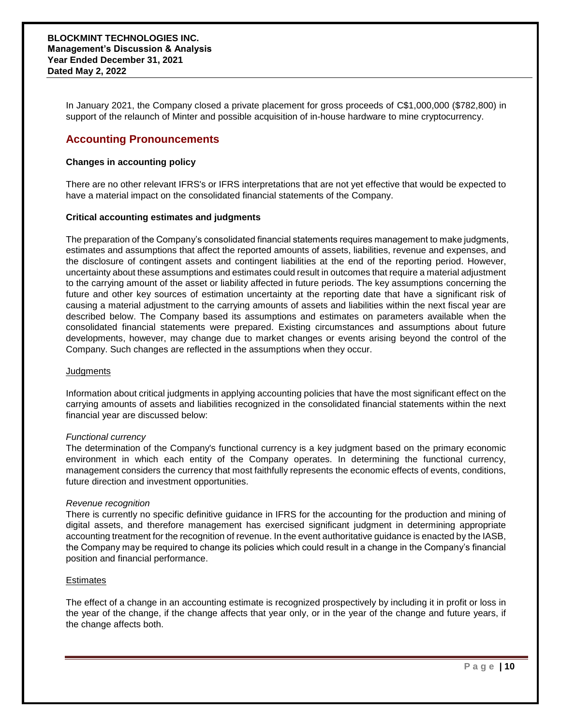In January 2021, the Company closed a private placement for gross proceeds of C\$1,000,000 (\$782,800) in support of the relaunch of Minter and possible acquisition of in-house hardware to mine cryptocurrency.

### **Accounting Pronouncements**

#### **Changes in accounting policy**

There are no other relevant IFRS's or IFRS interpretations that are not yet effective that would be expected to have a material impact on the consolidated financial statements of the Company.

#### **Critical accounting estimates and judgments**

The preparation of the Company's consolidated financial statements requires management to make judgments, estimates and assumptions that affect the reported amounts of assets, liabilities, revenue and expenses, and the disclosure of contingent assets and contingent liabilities at the end of the reporting period. However, uncertainty about these assumptions and estimates could result in outcomes that require a material adjustment to the carrying amount of the asset or liability affected in future periods. The key assumptions concerning the future and other key sources of estimation uncertainty at the reporting date that have a significant risk of causing a material adjustment to the carrying amounts of assets and liabilities within the next fiscal year are described below. The Company based its assumptions and estimates on parameters available when the consolidated financial statements were prepared. Existing circumstances and assumptions about future developments, however, may change due to market changes or events arising beyond the control of the Company. Such changes are reflected in the assumptions when they occur.

#### **Judgments**

Information about critical judgments in applying accounting policies that have the most significant effect on the carrying amounts of assets and liabilities recognized in the consolidated financial statements within the next financial year are discussed below:

#### *Functional currency*

The determination of the Company's functional currency is a key judgment based on the primary economic environment in which each entity of the Company operates. In determining the functional currency, management considers the currency that most faithfully represents the economic effects of events, conditions, future direction and investment opportunities.

#### *Revenue recognition*

There is currently no specific definitive guidance in IFRS for the accounting for the production and mining of digital assets, and therefore management has exercised significant judgment in determining appropriate accounting treatment for the recognition of revenue. In the event authoritative guidance is enacted by the IASB, the Company may be required to change its policies which could result in a change in the Company's financial position and financial performance.

#### **Estimates**

The effect of a change in an accounting estimate is recognized prospectively by including it in profit or loss in the year of the change, if the change affects that year only, or in the year of the change and future years, if the change affects both.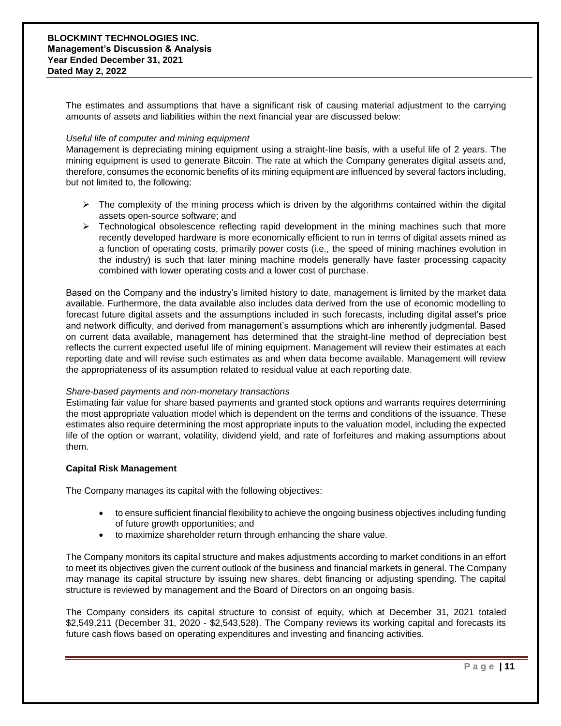The estimates and assumptions that have a significant risk of causing material adjustment to the carrying amounts of assets and liabilities within the next financial year are discussed below:

#### *Useful life of computer and mining equipment*

Management is depreciating mining equipment using a straight-line basis, with a useful life of 2 years. The mining equipment is used to generate Bitcoin. The rate at which the Company generates digital assets and, therefore, consumes the economic benefits of its mining equipment are influenced by several factors including, but not limited to, the following:

- $\triangleright$  The complexity of the mining process which is driven by the algorithms contained within the digital assets open-source software; and
- $\triangleright$  Technological obsolescence reflecting rapid development in the mining machines such that more recently developed hardware is more economically efficient to run in terms of digital assets mined as a function of operating costs, primarily power costs (i.e., the speed of mining machines evolution in the industry) is such that later mining machine models generally have faster processing capacity combined with lower operating costs and a lower cost of purchase.

Based on the Company and the industry's limited history to date, management is limited by the market data available. Furthermore, the data available also includes data derived from the use of economic modelling to forecast future digital assets and the assumptions included in such forecasts, including digital asset's price and network difficulty, and derived from management's assumptions which are inherently judgmental. Based on current data available, management has determined that the straight-line method of depreciation best reflects the current expected useful life of mining equipment. Management will review their estimates at each reporting date and will revise such estimates as and when data become available. Management will review the appropriateness of its assumption related to residual value at each reporting date.

#### *Share-based payments and non-monetary transactions*

Estimating fair value for share based payments and granted stock options and warrants requires determining the most appropriate valuation model which is dependent on the terms and conditions of the issuance. These estimates also require determining the most appropriate inputs to the valuation model, including the expected life of the option or warrant, volatility, dividend yield, and rate of forfeitures and making assumptions about them.

#### **Capital Risk Management**

The Company manages its capital with the following objectives:

- to ensure sufficient financial flexibility to achieve the ongoing business objectives including funding of future growth opportunities; and
- to maximize shareholder return through enhancing the share value.

The Company monitors its capital structure and makes adjustments according to market conditions in an effort to meet its objectives given the current outlook of the business and financial markets in general. The Company may manage its capital structure by issuing new shares, debt financing or adjusting spending. The capital structure is reviewed by management and the Board of Directors on an ongoing basis.

The Company considers its capital structure to consist of equity, which at December 31, 2021 totaled \$2,549,211 (December 31, 2020 - \$2,543,528). The Company reviews its working capital and forecasts its future cash flows based on operating expenditures and investing and financing activities.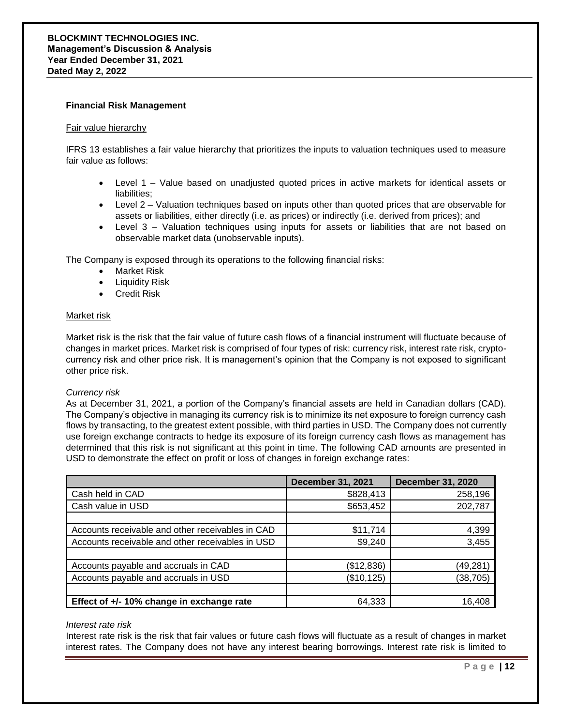#### **Financial Risk Management**

#### Fair value hierarchy

IFRS 13 establishes a fair value hierarchy that prioritizes the inputs to valuation techniques used to measure fair value as follows:

- Level 1 Value based on unadjusted quoted prices in active markets for identical assets or liabilities;
- Level 2 Valuation techniques based on inputs other than quoted prices that are observable for assets or liabilities, either directly (i.e. as prices) or indirectly (i.e. derived from prices); and
- Level 3 Valuation techniques using inputs for assets or liabilities that are not based on observable market data (unobservable inputs).

The Company is exposed through its operations to the following financial risks:

- Market Risk
- **•** Liquidity Risk
- Credit Risk

#### Market risk

Market risk is the risk that the fair value of future cash flows of a financial instrument will fluctuate because of changes in market prices. Market risk is comprised of four types of risk: currency risk, interest rate risk, cryptocurrency risk and other price risk. It is management's opinion that the Company is not exposed to significant other price risk.

#### *Currency risk*

As at December 31, 2021, a portion of the Company's financial assets are held in Canadian dollars (CAD). The Company's objective in managing its currency risk is to minimize its net exposure to foreign currency cash flows by transacting, to the greatest extent possible, with third parties in USD. The Company does not currently use foreign exchange contracts to hedge its exposure of its foreign currency cash flows as management has determined that this risk is not significant at this point in time. The following CAD amounts are presented in USD to demonstrate the effect on profit or loss of changes in foreign exchange rates:

|                                                  | <b>December 31, 2021</b> | <b>December 31, 2020</b> |
|--------------------------------------------------|--------------------------|--------------------------|
| Cash held in CAD                                 | \$828,413                | 258,196                  |
| Cash value in USD                                | \$653,452                | 202,787                  |
|                                                  |                          |                          |
| Accounts receivable and other receivables in CAD | \$11,714                 | 4,399                    |
| Accounts receivable and other receivables in USD | \$9,240                  | 3,455                    |
|                                                  |                          |                          |
| Accounts payable and accruals in CAD             | (\$12,836)               | (49,281)                 |
| Accounts payable and accruals in USD             | (\$10, 125)              | (38,705)                 |
|                                                  |                          |                          |
| Effect of +/- 10% change in exchange rate        | 64,333                   | 16,408                   |

#### *Interest rate risk*

Interest rate risk is the risk that fair values or future cash flows will fluctuate as a result of changes in market interest rates. The Company does not have any interest bearing borrowings. Interest rate risk is limited to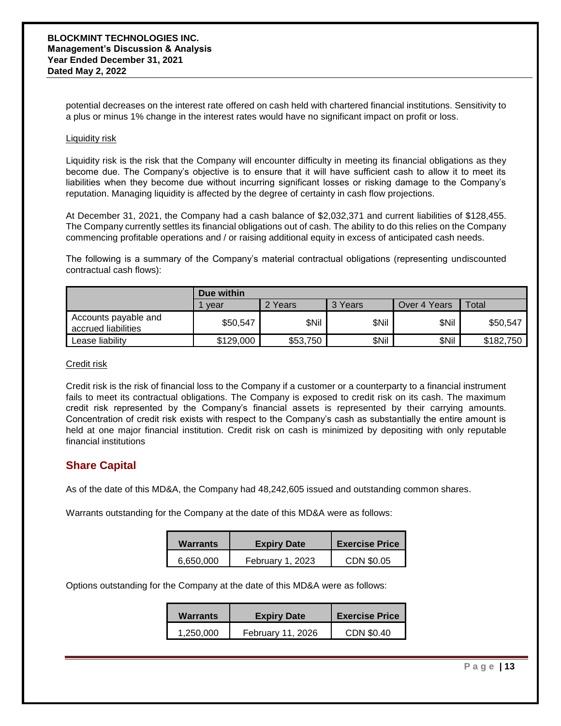potential decreases on the interest rate offered on cash held with chartered financial institutions. Sensitivity to a plus or minus 1% change in the interest rates would have no significant impact on profit or loss.

#### Liquidity risk

Liquidity risk is the risk that the Company will encounter difficulty in meeting its financial obligations as they become due. The Company's objective is to ensure that it will have sufficient cash to allow it to meet its liabilities when they become due without incurring significant losses or risking damage to the Company's reputation. Managing liquidity is affected by the degree of certainty in cash flow projections.

At December 31, 2021, the Company had a cash balance of \$2,032,371 and current liabilities of \$128,455. The Company currently settles its financial obligations out of cash. The ability to do this relies on the Company commencing profitable operations and / or raising additional equity in excess of anticipated cash needs.

The following is a summary of the Company's material contractual obligations (representing undiscounted contractual cash flows):

|                                             | Due within |          |       |              |           |
|---------------------------------------------|------------|----------|-------|--------------|-----------|
|                                             | vear       | 2 Years  | Years | Over 4 Years | Total     |
| Accounts payable and<br>accrued liabilities | \$50,547   | \$Nil    | \$Nil | \$Nil        | \$50,547  |
| Lease liability                             | \$129,000  | \$53,750 | \$Nil | \$Nil        | \$182,750 |

#### Credit risk

Credit risk is the risk of financial loss to the Company if a customer or a counterparty to a financial instrument fails to meet its contractual obligations. The Company is exposed to credit risk on its cash. The maximum credit risk represented by the Company's financial assets is represented by their carrying amounts. Concentration of credit risk exists with respect to the Company's cash as substantially the entire amount is held at one major financial institution. Credit risk on cash is minimized by depositing with only reputable financial institutions

### **Share Capital**

As of the date of this MD&A, the Company had 48,242,605 issued and outstanding common shares.

Warrants outstanding for the Company at the date of this MD&A were as follows:

| <b>Warrants</b> | <b>Expiry Date</b> | <b>Exercise Price</b> |
|-----------------|--------------------|-----------------------|
| 6.650.000       | February 1, 2023   | CDN \$0.05            |

Options outstanding for the Company at the date of this MD&A were as follows:

| Warrants  | <b>Expiry Date</b> | <b>Exercise Price</b> |
|-----------|--------------------|-----------------------|
| 1.250.000 | February 11, 2026  | CDN \$0.40            |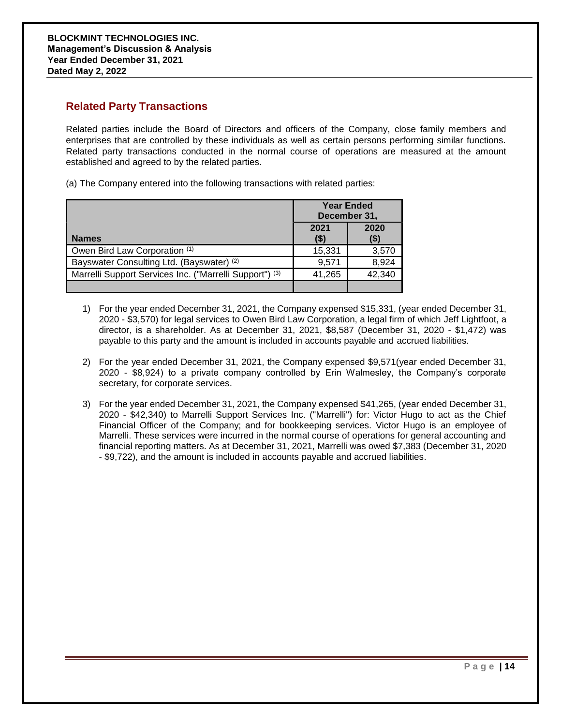### **Related Party Transactions**

Related parties include the Board of Directors and officers of the Company, close family members and enterprises that are controlled by these individuals as well as certain persons performing similar functions. Related party transactions conducted in the normal course of operations are measured at the amount established and agreed to by the related parties.

(a) The Company entered into the following transactions with related parties:

|                                                         | <b>Year Ended</b><br>December 31, |              |
|---------------------------------------------------------|-----------------------------------|--------------|
| <b>Names</b>                                            | 2021<br>(\$)                      | 2020<br>(\$) |
| Owen Bird Law Corporation (1)                           | 15,331                            | 3,570        |
| Bayswater Consulting Ltd. (Bayswater) (2)               | 9.571                             | 8,924        |
| Marrelli Support Services Inc. ("Marrelli Support") (3) | 41,265                            | 42,340       |
|                                                         |                                   |              |

- 1) For the year ended December 31, 2021, the Company expensed \$15,331, (year ended December 31, 2020 - \$3,570) for legal services to Owen Bird Law Corporation, a legal firm of which Jeff Lightfoot, a director, is a shareholder. As at December 31, 2021, \$8,587 (December 31, 2020 - \$1,472) was payable to this party and the amount is included in accounts payable and accrued liabilities.
- 2) For the year ended December 31, 2021, the Company expensed \$9,571(year ended December 31, 2020 - \$8,924) to a private company controlled by Erin Walmesley, the Company's corporate secretary, for corporate services.
- 3) For the year ended December 31, 2021, the Company expensed \$41,265, (year ended December 31, 2020 - \$42,340) to Marrelli Support Services Inc. ("Marrelli") for: Victor Hugo to act as the Chief Financial Officer of the Company; and for bookkeeping services. Victor Hugo is an employee of Marrelli. These services were incurred in the normal course of operations for general accounting and financial reporting matters. As at December 31, 2021, Marrelli was owed \$7,383 (December 31, 2020 - \$9,722), and the amount is included in accounts payable and accrued liabilities.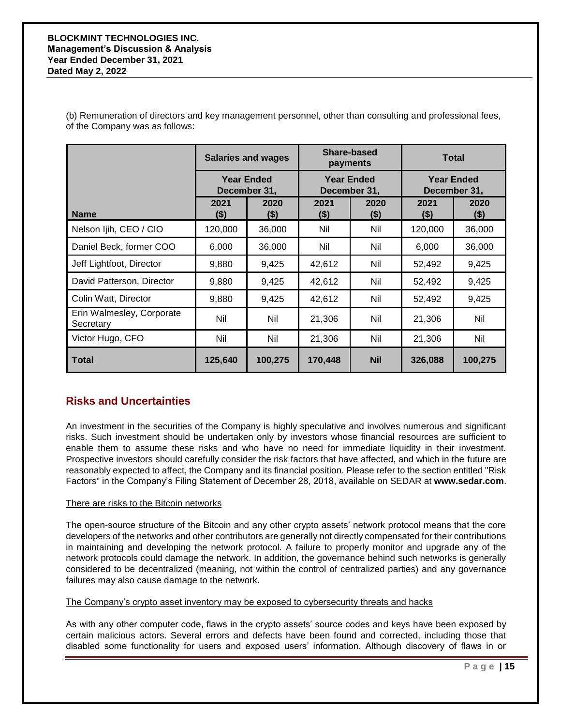#### **BLOCKMINT TECHNOLOGIES INC. Management's Discussion & Analysis Year Ended December 31, 2021 Dated May 2, 2022**

(b) Remuneration of directors and key management personnel, other than consulting and professional fees, of the Company was as follows:

|                                        |                   | Share-based<br><b>Salaries and wages</b><br>payments |                 | <b>Total</b>                      |                 |                                   |
|----------------------------------------|-------------------|------------------------------------------------------|-----------------|-----------------------------------|-----------------|-----------------------------------|
|                                        | <b>Year Ended</b> | December 31,                                         |                 | <b>Year Ended</b><br>December 31, |                 | <b>Year Ended</b><br>December 31, |
| <b>Name</b>                            | 2021<br>$($ \$)   | 2020<br>$($ \$)                                      | 2021<br>$($ \$) | 2020<br>$($ \$)                   | 2021<br>$($ \$) | 2020<br>\$)                       |
| Nelson Ijih, CEO / CIO                 | 120,000           | 36,000                                               | Nil             | Nil                               | 120,000         | 36,000                            |
| Daniel Beck, former COO                | 6,000             | 36,000                                               | Nil             | Nil                               | 6,000           | 36,000                            |
| Jeff Lightfoot, Director               | 9,880             | 9,425                                                | 42,612          | Nil                               | 52,492          | 9,425                             |
| David Patterson, Director              | 9,880             | 9,425                                                | 42,612          | Nil                               | 52,492          | 9,425                             |
| Colin Watt, Director                   | 9,880             | 9,425                                                | 42,612          | Nil                               | 52,492          | 9,425                             |
| Erin Walmesley, Corporate<br>Secretary | Nil               | Nil                                                  | 21,306          | Nil                               | 21,306          | Nil                               |
| Victor Hugo, CFO                       | Nil               | Nil                                                  | 21,306          | Nil                               | 21,306          | Nil                               |
| <b>Total</b>                           | 125,640           | 100,275                                              | 170,448         | <b>Nil</b>                        | 326,088         | 100,275                           |

### **Risks and Uncertainties**

An investment in the securities of the Company is highly speculative and involves numerous and significant risks. Such investment should be undertaken only by investors whose financial resources are sufficient to enable them to assume these risks and who have no need for immediate liquidity in their investment. Prospective investors should carefully consider the risk factors that have affected, and which in the future are reasonably expected to affect, the Company and its financial position. Please refer to the section entitled "Risk Factors" in the Company's Filing Statement of December 28, 2018, available on SEDAR at **www.sedar.com**.

### There are risks to the Bitcoin networks

The open-source structure of the Bitcoin and any other crypto assets' network protocol means that the core developers of the networks and other contributors are generally not directly compensated for their contributions in maintaining and developing the network protocol. A failure to properly monitor and upgrade any of the network protocols could damage the network. In addition, the governance behind such networks is generally considered to be decentralized (meaning, not within the control of centralized parties) and any governance failures may also cause damage to the network.

The Company's crypto asset inventory may be exposed to cybersecurity threats and hacks

As with any other computer code, flaws in the crypto assets' source codes and keys have been exposed by certain malicious actors. Several errors and defects have been found and corrected, including those that disabled some functionality for users and exposed users' information. Although discovery of flaws in or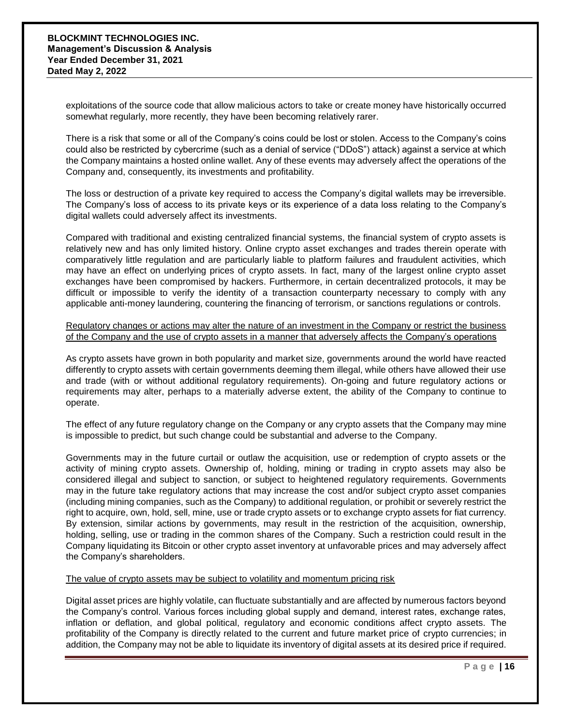exploitations of the source code that allow malicious actors to take or create money have historically occurred somewhat regularly, more recently, they have been becoming relatively rarer.

There is a risk that some or all of the Company's coins could be lost or stolen. Access to the Company's coins could also be restricted by cybercrime (such as a denial of service ("DDoS") attack) against a service at which the Company maintains a hosted online wallet. Any of these events may adversely affect the operations of the Company and, consequently, its investments and profitability.

The loss or destruction of a private key required to access the Company's digital wallets may be irreversible. The Company's loss of access to its private keys or its experience of a data loss relating to the Company's digital wallets could adversely affect its investments.

Compared with traditional and existing centralized financial systems, the financial system of crypto assets is relatively new and has only limited history. Online crypto asset exchanges and trades therein operate with comparatively little regulation and are particularly liable to platform failures and fraudulent activities, which may have an effect on underlying prices of crypto assets. In fact, many of the largest online crypto asset exchanges have been compromised by hackers. Furthermore, in certain decentralized protocols, it may be difficult or impossible to verify the identity of a transaction counterparty necessary to comply with any applicable anti-money laundering, countering the financing of terrorism, or sanctions regulations or controls.

Regulatory changes or actions may alter the nature of an investment in the Company or restrict the business of the Company and the use of crypto assets in a manner that adversely affects the Company's operations

As crypto assets have grown in both popularity and market size, governments around the world have reacted differently to crypto assets with certain governments deeming them illegal, while others have allowed their use and trade (with or without additional regulatory requirements). On-going and future regulatory actions or requirements may alter, perhaps to a materially adverse extent, the ability of the Company to continue to operate.

The effect of any future regulatory change on the Company or any crypto assets that the Company may mine is impossible to predict, but such change could be substantial and adverse to the Company.

Governments may in the future curtail or outlaw the acquisition, use or redemption of crypto assets or the activity of mining crypto assets. Ownership of, holding, mining or trading in crypto assets may also be considered illegal and subject to sanction, or subject to heightened regulatory requirements. Governments may in the future take regulatory actions that may increase the cost and/or subject crypto asset companies (including mining companies, such as the Company) to additional regulation, or prohibit or severely restrict the right to acquire, own, hold, sell, mine, use or trade crypto assets or to exchange crypto assets for fiat currency. By extension, similar actions by governments, may result in the restriction of the acquisition, ownership, holding, selling, use or trading in the common shares of the Company. Such a restriction could result in the Company liquidating its Bitcoin or other crypto asset inventory at unfavorable prices and may adversely affect the Company's shareholders.

#### The value of crypto assets may be subject to volatility and momentum pricing risk

Digital asset prices are highly volatile, can fluctuate substantially and are affected by numerous factors beyond the Company's control. Various forces including global supply and demand, interest rates, exchange rates, inflation or deflation, and global political, regulatory and economic conditions affect crypto assets. The profitability of the Company is directly related to the current and future market price of crypto currencies; in addition, the Company may not be able to liquidate its inventory of digital assets at its desired price if required.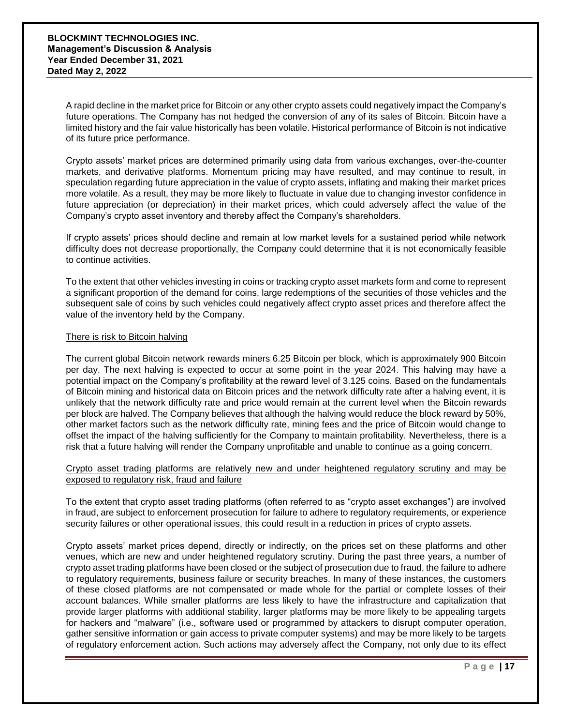A rapid decline in the market price for Bitcoin or any other crypto assets could negatively impact the Company's future operations. The Company has not hedged the conversion of any of its sales of Bitcoin. Bitcoin have a limited history and the fair value historically has been volatile. Historical performance of Bitcoin is not indicative of its future price performance.

Crypto assets' market prices are determined primarily using data from various exchanges, over-the-counter markets, and derivative platforms. Momentum pricing may have resulted, and may continue to result, in speculation regarding future appreciation in the value of crypto assets, inflating and making their market prices more volatile. As a result, they may be more likely to fluctuate in value due to changing investor confidence in future appreciation (or depreciation) in their market prices, which could adversely affect the value of the Company's crypto asset inventory and thereby affect the Company's shareholders.

If crypto assets' prices should decline and remain at low market levels for a sustained period while network difficulty does not decrease proportionally, the Company could determine that it is not economically feasible to continue activities.

To the extent that other vehicles investing in coins or tracking crypto asset markets form and come to represent a significant proportion of the demand for coins, large redemptions of the securities of those vehicles and the subsequent sale of coins by such vehicles could negatively affect crypto asset prices and therefore affect the value of the inventory held by the Company.

#### There is risk to Bitcoin halving

The current global Bitcoin network rewards miners 6.25 Bitcoin per block, which is approximately 900 Bitcoin per day. The next halving is expected to occur at some point in the year 2024. This halving may have a potential impact on the Company's profitability at the reward level of 3.125 coins. Based on the fundamentals of Bitcoin mining and historical data on Bitcoin prices and the network difficulty rate after a halving event, it is unlikely that the network difficulty rate and price would remain at the current level when the Bitcoin rewards per block are halved. The Company believes that although the halving would reduce the block reward by 50%, other market factors such as the network difficulty rate, mining fees and the price of Bitcoin would change to offset the impact of the halving sufficiently for the Company to maintain profitability. Nevertheless, there is a risk that a future halving will render the Company unprofitable and unable to continue as a going concern.

#### Crypto asset trading platforms are relatively new and under heightened regulatory scrutiny and may be exposed to regulatory risk, fraud and failure

To the extent that crypto asset trading platforms (often referred to as "crypto asset exchanges") are involved in fraud, are subject to enforcement prosecution for failure to adhere to regulatory requirements, or experience security failures or other operational issues, this could result in a reduction in prices of crypto assets.

Crypto assets' market prices depend, directly or indirectly, on the prices set on these platforms and other venues, which are new and under heightened regulatory scrutiny. During the past three years, a number of crypto asset trading platforms have been closed or the subject of prosecution due to fraud, the failure to adhere to regulatory requirements, business failure or security breaches. In many of these instances, the customers of these closed platforms are not compensated or made whole for the partial or complete losses of their account balances. While smaller platforms are less likely to have the infrastructure and capitalization that provide larger platforms with additional stability, larger platforms may be more likely to be appealing targets for hackers and "malware" (i.e., software used or programmed by attackers to disrupt computer operation, gather sensitive information or gain access to private computer systems) and may be more likely to be targets of regulatory enforcement action. Such actions may adversely affect the Company, not only due to its effect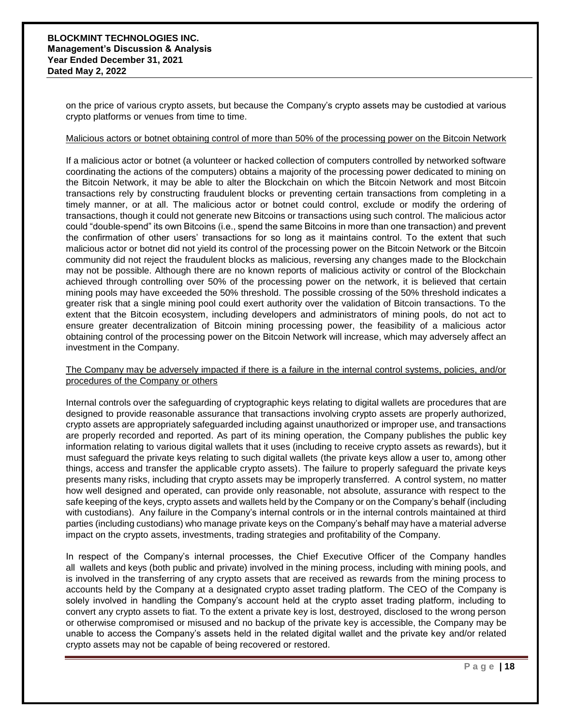on the price of various crypto assets, but because the Company's crypto assets may be custodied at various crypto platforms or venues from time to time.

#### Malicious actors or botnet obtaining control of more than 50% of the processing power on the Bitcoin Network

If a malicious actor or botnet (a volunteer or hacked collection of computers controlled by networked software coordinating the actions of the computers) obtains a majority of the processing power dedicated to mining on the Bitcoin Network, it may be able to alter the Blockchain on which the Bitcoin Network and most Bitcoin transactions rely by constructing fraudulent blocks or preventing certain transactions from completing in a timely manner, or at all. The malicious actor or botnet could control, exclude or modify the ordering of transactions, though it could not generate new Bitcoins or transactions using such control. The malicious actor could "double-spend" its own Bitcoins (i.e., spend the same Bitcoins in more than one transaction) and prevent the confirmation of other users' transactions for so long as it maintains control. To the extent that such malicious actor or botnet did not yield its control of the processing power on the Bitcoin Network or the Bitcoin community did not reject the fraudulent blocks as malicious, reversing any changes made to the Blockchain may not be possible. Although there are no known reports of malicious activity or control of the Blockchain achieved through controlling over 50% of the processing power on the network, it is believed that certain mining pools may have exceeded the 50% threshold. The possible crossing of the 50% threshold indicates a greater risk that a single mining pool could exert authority over the validation of Bitcoin transactions. To the extent that the Bitcoin ecosystem, including developers and administrators of mining pools, do not act to ensure greater decentralization of Bitcoin mining processing power, the feasibility of a malicious actor obtaining control of the processing power on the Bitcoin Network will increase, which may adversely affect an investment in the Company.

#### The Company may be adversely impacted if there is a failure in the internal control systems, policies, and/or procedures of the Company or others

Internal controls over the safeguarding of cryptographic keys relating to digital wallets are procedures that are designed to provide reasonable assurance that transactions involving crypto assets are properly authorized, crypto assets are appropriately safeguarded including against unauthorized or improper use, and transactions are properly recorded and reported. As part of its mining operation, the Company publishes the public key information relating to various digital wallets that it uses (including to receive crypto assets as rewards), but it must safeguard the private keys relating to such digital wallets (the private keys allow a user to, among other things, access and transfer the applicable crypto assets). The failure to properly safeguard the private keys presents many risks, including that crypto assets may be improperly transferred. A control system, no matter how well designed and operated, can provide only reasonable, not absolute, assurance with respect to the safe keeping of the keys, crypto assets and wallets held by the Company or on the Company's behalf (including with custodians). Any failure in the Company's internal controls or in the internal controls maintained at third parties (including custodians) who manage private keys on the Company's behalf may have a material adverse impact on the crypto assets, investments, trading strategies and profitability of the Company.

In respect of the Company's internal processes, the Chief Executive Officer of the Company handles all wallets and keys (both public and private) involved in the mining process, including with mining pools, and is involved in the transferring of any crypto assets that are received as rewards from the mining process to accounts held by the Company at a designated crypto asset trading platform. The CEO of the Company is solely involved in handling the Company's account held at the crypto asset trading platform, including to convert any crypto assets to fiat. To the extent a private key is lost, destroyed, disclosed to the wrong person or otherwise compromised or misused and no backup of the private key is accessible, the Company may be unable to access the Company's assets held in the related digital wallet and the private key and/or related crypto assets may not be capable of being recovered or restored.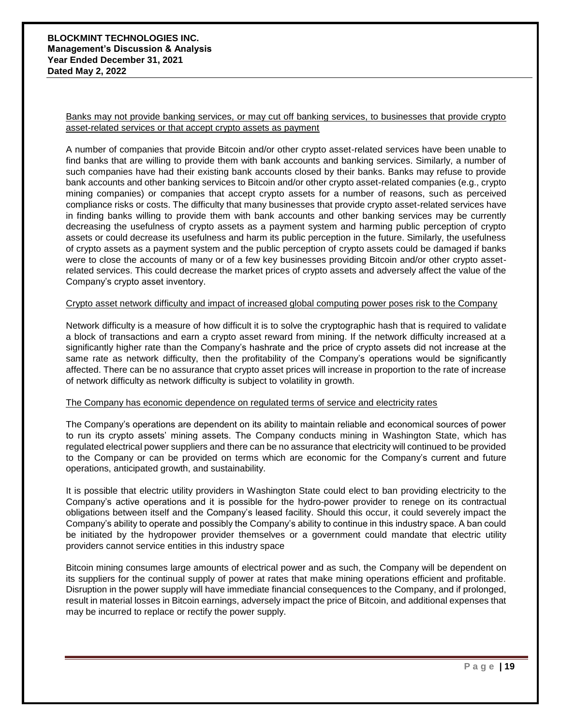Banks may not provide banking services, or may cut off banking services, to businesses that provide crypto asset-related services or that accept crypto assets as payment

A number of companies that provide Bitcoin and/or other crypto asset-related services have been unable to find banks that are willing to provide them with bank accounts and banking services. Similarly, a number of such companies have had their existing bank accounts closed by their banks. Banks may refuse to provide bank accounts and other banking services to Bitcoin and/or other crypto asset-related companies (e.g., crypto mining companies) or companies that accept crypto assets for a number of reasons, such as perceived compliance risks or costs. The difficulty that many businesses that provide crypto asset-related services have in finding banks willing to provide them with bank accounts and other banking services may be currently decreasing the usefulness of crypto assets as a payment system and harming public perception of crypto assets or could decrease its usefulness and harm its public perception in the future. Similarly, the usefulness of crypto assets as a payment system and the public perception of crypto assets could be damaged if banks were to close the accounts of many or of a few key businesses providing Bitcoin and/or other crypto assetrelated services. This could decrease the market prices of crypto assets and adversely affect the value of the Company's crypto asset inventory.

#### Crypto asset network difficulty and impact of increased global computing power poses risk to the Company

Network difficulty is a measure of how difficult it is to solve the cryptographic hash that is required to validate a block of transactions and earn a crypto asset reward from mining. If the network difficulty increased at a significantly higher rate than the Company's hashrate and the price of crypto assets did not increase at the same rate as network difficulty, then the profitability of the Company's operations would be significantly affected. There can be no assurance that crypto asset prices will increase in proportion to the rate of increase of network difficulty as network difficulty is subject to volatility in growth.

#### The Company has economic dependence on regulated terms of service and electricity rates

The Company's operations are dependent on its ability to maintain reliable and economical sources of power to run its crypto assets' mining assets. The Company conducts mining in Washington State, which has regulated electrical power suppliers and there can be no assurance that electricity will continued to be provided to the Company or can be provided on terms which are economic for the Company's current and future operations, anticipated growth, and sustainability.

It is possible that electric utility providers in Washington State could elect to ban providing electricity to the Company's active operations and it is possible for the hydro-power provider to renege on its contractual obligations between itself and the Company's leased facility. Should this occur, it could severely impact the Company's ability to operate and possibly the Company's ability to continue in this industry space. A ban could be initiated by the hydropower provider themselves or a government could mandate that electric utility providers cannot service entities in this industry space

Bitcoin mining consumes large amounts of electrical power and as such, the Company will be dependent on its suppliers for the continual supply of power at rates that make mining operations efficient and profitable. Disruption in the power supply will have immediate financial consequences to the Company, and if prolonged, result in material losses in Bitcoin earnings, adversely impact the price of Bitcoin, and additional expenses that may be incurred to replace or rectify the power supply.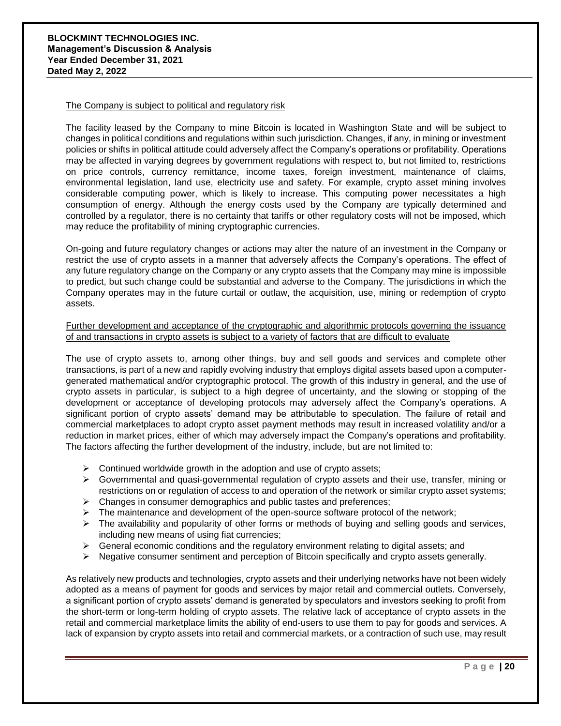#### The Company is subject to political and regulatory risk

The facility leased by the Company to mine Bitcoin is located in Washington State and will be subject to changes in political conditions and regulations within such jurisdiction. Changes, if any, in mining or investment policies or shifts in political attitude could adversely affect the Company's operations or profitability. Operations may be affected in varying degrees by government regulations with respect to, but not limited to, restrictions on price controls, currency remittance, income taxes, foreign investment, maintenance of claims, environmental legislation, land use, electricity use and safety. For example, crypto asset mining involves considerable computing power, which is likely to increase. This computing power necessitates a high consumption of energy. Although the energy costs used by the Company are typically determined and controlled by a regulator, there is no certainty that tariffs or other regulatory costs will not be imposed, which may reduce the profitability of mining cryptographic currencies.

On-going and future regulatory changes or actions may alter the nature of an investment in the Company or restrict the use of crypto assets in a manner that adversely affects the Company's operations. The effect of any future regulatory change on the Company or any crypto assets that the Company may mine is impossible to predict, but such change could be substantial and adverse to the Company. The jurisdictions in which the Company operates may in the future curtail or outlaw, the acquisition, use, mining or redemption of crypto assets.

#### Further development and acceptance of the cryptographic and algorithmic protocols governing the issuance of and transactions in crypto assets is subject to a variety of factors that are difficult to evaluate

The use of crypto assets to, among other things, buy and sell goods and services and complete other transactions, is part of a new and rapidly evolving industry that employs digital assets based upon a computergenerated mathematical and/or cryptographic protocol. The growth of this industry in general, and the use of crypto assets in particular, is subject to a high degree of uncertainty, and the slowing or stopping of the development or acceptance of developing protocols may adversely affect the Company's operations. A significant portion of crypto assets' demand may be attributable to speculation. The failure of retail and commercial marketplaces to adopt crypto asset payment methods may result in increased volatility and/or a reduction in market prices, either of which may adversely impact the Company's operations and profitability. The factors affecting the further development of the industry, include, but are not limited to:

- $\triangleright$  Continued worldwide growth in the adoption and use of crypto assets;
- $\triangleright$  Governmental and quasi-governmental regulation of crypto assets and their use, transfer, mining or restrictions on or regulation of access to and operation of the network or similar crypto asset systems;
- $\triangleright$  Changes in consumer demographics and public tastes and preferences;
- $\triangleright$  The maintenance and development of the open-source software protocol of the network;
- $\triangleright$  The availability and popularity of other forms or methods of buying and selling goods and services, including new means of using fiat currencies;
- $\triangleright$  General economic conditions and the regulatory environment relating to digital assets; and
- $\triangleright$  Negative consumer sentiment and perception of Bitcoin specifically and crypto assets generally.

As relatively new products and technologies, crypto assets and their underlying networks have not been widely adopted as a means of payment for goods and services by major retail and commercial outlets. Conversely, a significant portion of crypto assets' demand is generated by speculators and investors seeking to profit from the short-term or long-term holding of crypto assets. The relative lack of acceptance of crypto assets in the retail and commercial marketplace limits the ability of end-users to use them to pay for goods and services. A lack of expansion by crypto assets into retail and commercial markets, or a contraction of such use, may result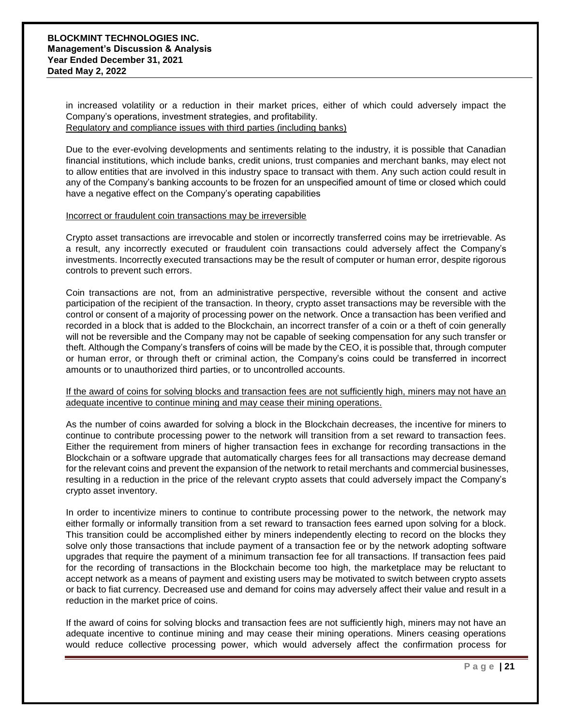in increased volatility or a reduction in their market prices, either of which could adversely impact the Company's operations, investment strategies, and profitability. Regulatory and compliance issues with third parties (including banks)

Due to the ever-evolving developments and sentiments relating to the industry, it is possible that Canadian financial institutions, which include banks, credit unions, trust companies and merchant banks, may elect not to allow entities that are involved in this industry space to transact with them. Any such action could result in any of the Company's banking accounts to be frozen for an unspecified amount of time or closed which could have a negative effect on the Company's operating capabilities

#### Incorrect or fraudulent coin transactions may be irreversible

Crypto asset transactions are irrevocable and stolen or incorrectly transferred coins may be irretrievable. As a result, any incorrectly executed or fraudulent coin transactions could adversely affect the Company's investments. Incorrectly executed transactions may be the result of computer or human error, despite rigorous controls to prevent such errors.

Coin transactions are not, from an administrative perspective, reversible without the consent and active participation of the recipient of the transaction. In theory, crypto asset transactions may be reversible with the control or consent of a majority of processing power on the network. Once a transaction has been verified and recorded in a block that is added to the Blockchain, an incorrect transfer of a coin or a theft of coin generally will not be reversible and the Company may not be capable of seeking compensation for any such transfer or theft. Although the Company's transfers of coins will be made by the CEO, it is possible that, through computer or human error, or through theft or criminal action, the Company's coins could be transferred in incorrect amounts or to unauthorized third parties, or to uncontrolled accounts.

#### If the award of coins for solving blocks and transaction fees are not sufficiently high, miners may not have an adequate incentive to continue mining and may cease their mining operations.

As the number of coins awarded for solving a block in the Blockchain decreases, the incentive for miners to continue to contribute processing power to the network will transition from a set reward to transaction fees. Either the requirement from miners of higher transaction fees in exchange for recording transactions in the Blockchain or a software upgrade that automatically charges fees for all transactions may decrease demand for the relevant coins and prevent the expansion of the network to retail merchants and commercial businesses, resulting in a reduction in the price of the relevant crypto assets that could adversely impact the Company's crypto asset inventory.

In order to incentivize miners to continue to contribute processing power to the network, the network may either formally or informally transition from a set reward to transaction fees earned upon solving for a block. This transition could be accomplished either by miners independently electing to record on the blocks they solve only those transactions that include payment of a transaction fee or by the network adopting software upgrades that require the payment of a minimum transaction fee for all transactions. If transaction fees paid for the recording of transactions in the Blockchain become too high, the marketplace may be reluctant to accept network as a means of payment and existing users may be motivated to switch between crypto assets or back to fiat currency. Decreased use and demand for coins may adversely affect their value and result in a reduction in the market price of coins.

If the award of coins for solving blocks and transaction fees are not sufficiently high, miners may not have an adequate incentive to continue mining and may cease their mining operations. Miners ceasing operations would reduce collective processing power, which would adversely affect the confirmation process for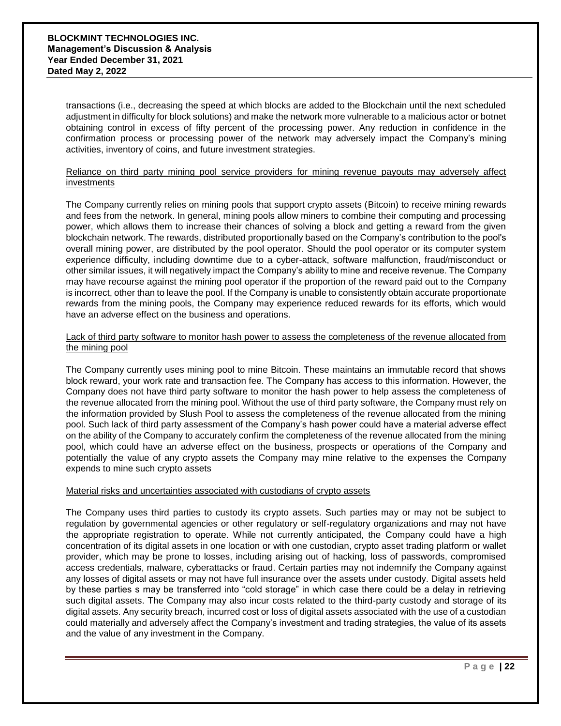transactions (i.e., decreasing the speed at which blocks are added to the Blockchain until the next scheduled adjustment in difficulty for block solutions) and make the network more vulnerable to a malicious actor or botnet obtaining control in excess of fifty percent of the processing power. Any reduction in confidence in the confirmation process or processing power of the network may adversely impact the Company's mining activities, inventory of coins, and future investment strategies.

#### Reliance on third party mining pool service providers for mining revenue payouts may adversely affect investments

The Company currently relies on mining pools that support crypto assets (Bitcoin) to receive mining rewards and fees from the network. In general, mining pools allow miners to combine their computing and processing power, which allows them to increase their chances of solving a block and getting a reward from the given blockchain network. The rewards, distributed proportionally based on the Company's contribution to the pool's overall mining power, are distributed by the pool operator. Should the pool operator or its computer system experience difficulty, including downtime due to a cyber-attack, software malfunction, fraud/misconduct or other similar issues, it will negatively impact the Company's ability to mine and receive revenue. The Company may have recourse against the mining pool operator if the proportion of the reward paid out to the Company is incorrect, other than to leave the pool. If the Company is unable to consistently obtain accurate proportionate rewards from the mining pools, the Company may experience reduced rewards for its efforts, which would have an adverse effect on the business and operations.

#### Lack of third party software to monitor hash power to assess the completeness of the revenue allocated from the mining pool

The Company currently uses mining pool to mine Bitcoin. These maintains an immutable record that shows block reward, your work rate and transaction fee. The Company has access to this information. However, the Company does not have third party software to monitor the hash power to help assess the completeness of the revenue allocated from the mining pool. Without the use of third party software, the Company must rely on the information provided by Slush Pool to assess the completeness of the revenue allocated from the mining pool. Such lack of third party assessment of the Company's hash power could have a material adverse effect on the ability of the Company to accurately confirm the completeness of the revenue allocated from the mining pool, which could have an adverse effect on the business, prospects or operations of the Company and potentially the value of any crypto assets the Company may mine relative to the expenses the Company expends to mine such crypto assets

#### Material risks and uncertainties associated with custodians of crypto assets

The Company uses third parties to custody its crypto assets. Such parties may or may not be subject to regulation by governmental agencies or other regulatory or self-regulatory organizations and may not have the appropriate registration to operate. While not currently anticipated, the Company could have a high concentration of its digital assets in one location or with one custodian, crypto asset trading platform or wallet provider, which may be prone to losses, including arising out of hacking, loss of passwords, compromised access credentials, malware, cyberattacks or fraud. Certain parties may not indemnify the Company against any losses of digital assets or may not have full insurance over the assets under custody. Digital assets held by these parties s may be transferred into "cold storage" in which case there could be a delay in retrieving such digital assets. The Company may also incur costs related to the third-party custody and storage of its digital assets. Any security breach, incurred cost or loss of digital assets associated with the use of a custodian could materially and adversely affect the Company's investment and trading strategies, the value of its assets and the value of any investment in the Company.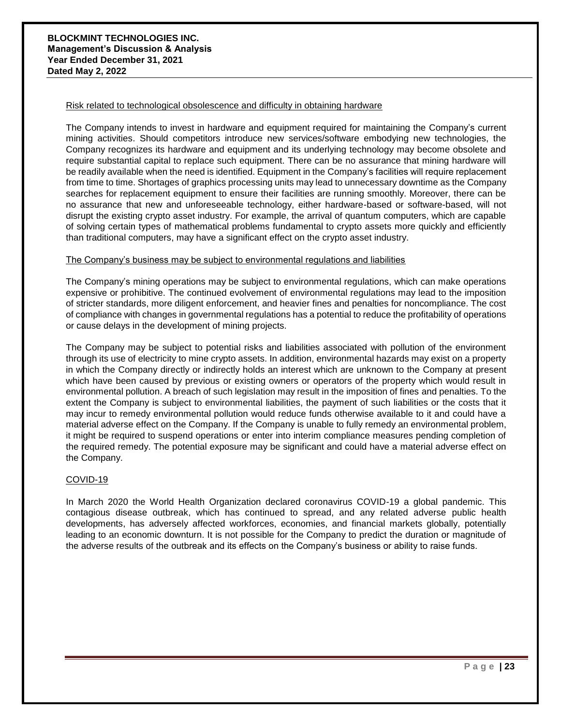#### Risk related to technological obsolescence and difficulty in obtaining hardware

The Company intends to invest in hardware and equipment required for maintaining the Company's current mining activities. Should competitors introduce new services/software embodying new technologies, the Company recognizes its hardware and equipment and its underlying technology may become obsolete and require substantial capital to replace such equipment. There can be no assurance that mining hardware will be readily available when the need is identified. Equipment in the Company's facilities will require replacement from time to time. Shortages of graphics processing units may lead to unnecessary downtime as the Company searches for replacement equipment to ensure their facilities are running smoothly. Moreover, there can be no assurance that new and unforeseeable technology, either hardware-based or software-based, will not disrupt the existing crypto asset industry. For example, the arrival of quantum computers, which are capable of solving certain types of mathematical problems fundamental to crypto assets more quickly and efficiently than traditional computers, may have a significant effect on the crypto asset industry.

#### The Company's business may be subject to environmental regulations and liabilities

The Company's mining operations may be subject to environmental regulations, which can make operations expensive or prohibitive. The continued evolvement of environmental regulations may lead to the imposition of stricter standards, more diligent enforcement, and heavier fines and penalties for noncompliance. The cost of compliance with changes in governmental regulations has a potential to reduce the profitability of operations or cause delays in the development of mining projects.

The Company may be subject to potential risks and liabilities associated with pollution of the environment through its use of electricity to mine crypto assets. In addition, environmental hazards may exist on a property in which the Company directly or indirectly holds an interest which are unknown to the Company at present which have been caused by previous or existing owners or operators of the property which would result in environmental pollution. A breach of such legislation may result in the imposition of fines and penalties. To the extent the Company is subject to environmental liabilities, the payment of such liabilities or the costs that it may incur to remedy environmental pollution would reduce funds otherwise available to it and could have a material adverse effect on the Company. If the Company is unable to fully remedy an environmental problem, it might be required to suspend operations or enter into interim compliance measures pending completion of the required remedy. The potential exposure may be significant and could have a material adverse effect on the Company.

#### COVID-19

In March 2020 the World Health Organization declared coronavirus COVID-19 a global pandemic. This contagious disease outbreak, which has continued to spread, and any related adverse public health developments, has adversely affected workforces, economies, and financial markets globally, potentially leading to an economic downturn. It is not possible for the Company to predict the duration or magnitude of the adverse results of the outbreak and its effects on the Company's business or ability to raise funds.